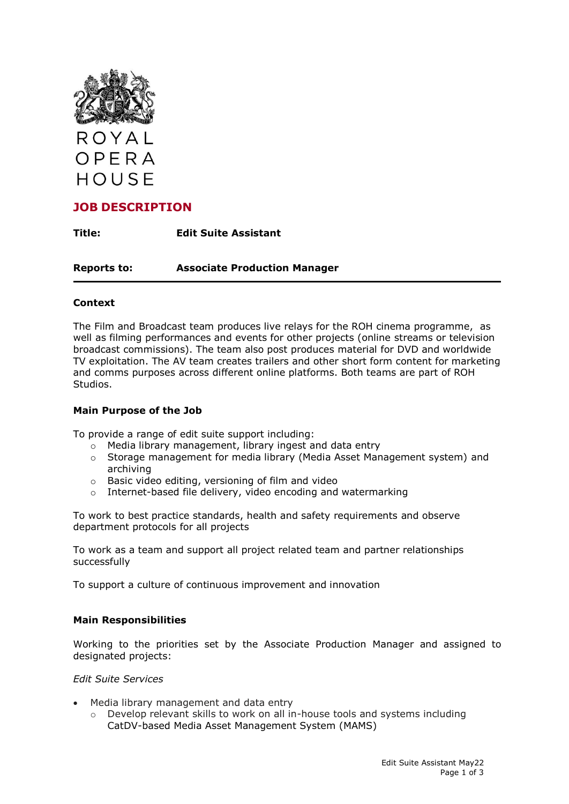

# **JOB DESCRIPTION**

**Title: Edit Suite Assistant**

**Reports to: Associate Production Manager**

# **Context**

The Film and Broadcast team produces live relays for the ROH cinema programme, as well as filming performances and events for other projects (online streams or television broadcast commissions). The team also post produces material for DVD and worldwide TV exploitation. The AV team creates trailers and other short form content for marketing and comms purposes across different online platforms. Both teams are part of ROH Studios.

## **Main Purpose of the Job**

To provide a range of edit suite support including:

- $\circ$  Media library management, library ingest and data entry
- o Storage management for media library (Media Asset Management system) and archiving
- o Basic video editing, versioning of film and video
- o Internet-based file delivery, video encoding and watermarking

To work to best practice standards, health and safety requirements and observe department protocols for all projects

To work as a team and support all project related team and partner relationships successfully

To support a culture of continuous improvement and innovation

## **Main Responsibilities**

Working to the priorities set by the Associate Production Manager and assigned to designated projects:

## *Edit Suite Services*

- Media library management and data entry
	- $\circ$  Develop relevant skills to work on all in-house tools and systems including CatDV-based Media Asset Management System (MAMS)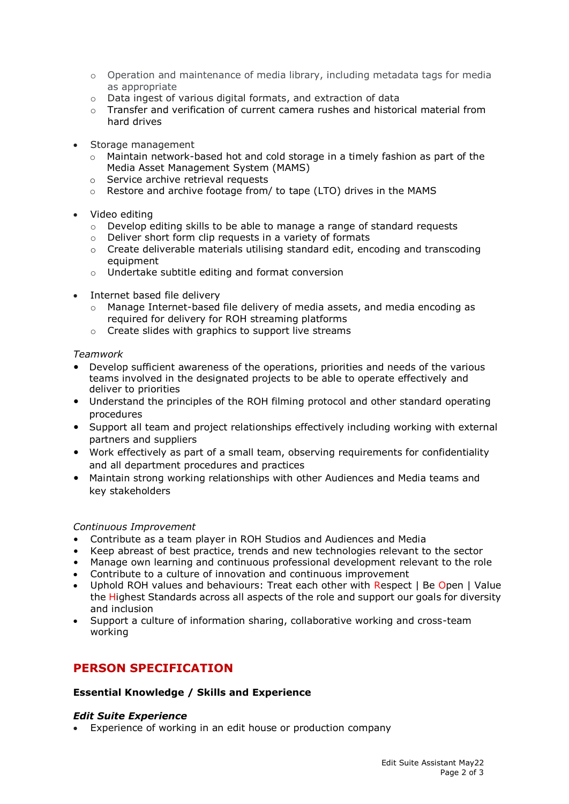- $\circ$  Operation and maintenance of media library, including metadata tags for media as appropriate
- o Data ingest of various digital formats, and extraction of data
- $\circ$  Transfer and verification of current camera rushes and historical material from hard drives
- Storage management
	- Maintain network-based hot and cold storage in a timely fashion as part of the Media Asset Management System (MAMS)
	- o Service archive retrieval requests
	- o Restore and archive footage from/ to tape (LTO) drives in the MAMS
- Video editing
	- $\circ$  Develop editing skills to be able to manage a range of standard requests
	- o Deliver short form clip requests in a variety of formats
	- $\circ$  Create deliverable materials utilising standard edit, encoding and transcoding equipment
	- o Undertake subtitle editing and format conversion
- Internet based file delivery
	- o Manage Internet-based file delivery of media assets, and media encoding as required for delivery for ROH streaming platforms
	- o Create slides with graphics to support live streams

## *Teamwork*

- Develop sufficient awareness of the operations, priorities and needs of the various teams involved in the designated projects to be able to operate effectively and deliver to priorities
- Understand the principles of the ROH filming protocol and other standard operating procedures
- Support all team and project relationships effectively including working with external partners and suppliers
- Work effectively as part of a small team, observing requirements for confidentiality and all department procedures and practices
- Maintain strong working relationships with other Audiences and Media teams and key stakeholders

## *Continuous Improvement*

- Contribute as a team player in ROH Studios and Audiences and Media
- Keep abreast of best practice, trends and new technologies relevant to the sector
- Manage own learning and continuous professional development relevant to the role
- Contribute to a culture of innovation and continuous improvement
- Uphold ROH values and behaviours: Treat each other with Respect | Be Open | Value the Highest Standards across all aspects of the role and support our goals for diversity and inclusion
- Support a culture of information sharing, collaborative working and cross-team working

# **PERSON SPECIFICATION**

# **Essential Knowledge / Skills and Experience**

## *Edit Suite Experience*

• Experience of working in an edit house or production company